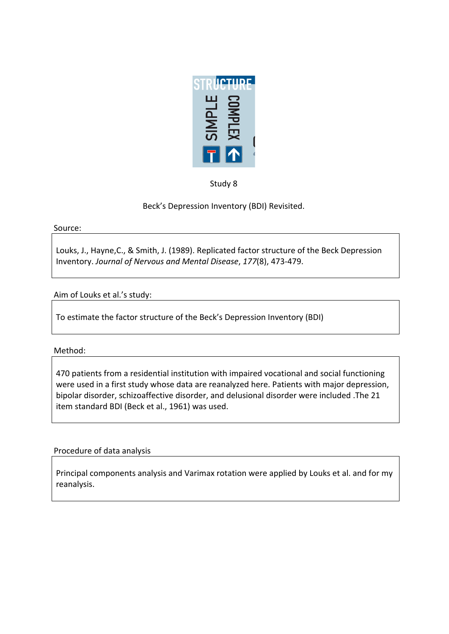

Study 8

Beck's Depression Inventory (BDI) Revisited.

Source:

Louks, J., Hayne, C., & Smith, J. (1989). Replicated factor structure of the Beck Depression Inventory. *Journal of Nervous and Mental Disease, 177(8), 473-479.* 

Aim of Louks et al.'s study:

To estimate the factor structure of the Beck's Depression Inventory (BDI)

Method:

470 patients from a residential institution with impaired vocational and social functioning were used in a first study whose data are reanalyzed here. Patients with major depression, bipolar disorder, schizoaffective disorder, and delusional disorder were included .The 21 item standard BDI (Beck et al., 1961) was used.

Procedure of data analysis

Principal components analysis and Varimax rotation were applied by Louks et al. and for my reanalysis.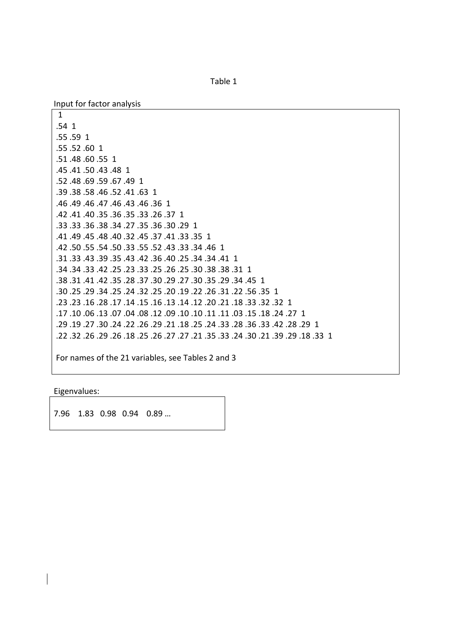Table 1

Input for factor analysis

1 .54 1 .55.59 1 .55.52.60 1 .51 .48 .60 .55 1 .45 .41 .50 .43 .48 1 .52 .48 .69 .59 .67 .49 1 .39 .38 .58 .46 .52 .41 .63 1 .46 .49 .46 .47 .46 .43 .46 .36 1 .42 .41 .40 .35 .36 .35 .33 .26 .37 1 .33 .33 .36 .38 .34 .27 .35 .36 .30 .29 1 .41 .49 .45 .48 .40 .32 .45 .37 .41 .33 .35 1 .42 .50 .55 .54 .50 .33 .55 .52 .43 .33 .34 .42 .31 .33 .43 .39 .35 .43 .42 .36 .40 .25 .34 .34 .41 .31 .34 .34 .33 .42 .25 .33 .25 .26 .25 .23 .33 .31 .34 .34. .38 .31 .41 .42 .35 .28 .37 .30 .29 .27 .30 .35 .28 .31 .41 .45 .30 .25 .29 .34 .25 .24 .25 .20 .20 .25 .24 .32 .25 .24 .32. 30. .23 .23 .32 .32 .16 .17 .14 .15 .16 .13 .14 .12 .20 .21 .23 .23 .23 12 27. 24. 18. 15. 03. 11. 11. 11. 10. 10. 09. 12. 09. 01. 17. 17. 17. 17. .29 .28 .28 .24 .23 .36 .33 .28 .24 .27 .28 .29 .24 .22 .26 .24 .22 .25 .29 .29 .29 .22 .32 .26 .29 .26 .27 .25 .25 .25 .25 .27 .27 .27 .27 .26 .25 .28 .25 .22 .25

For names of the 21 variables, see Tables 2 and 3

Eigenvalues:

7.96 1.83 0.98 0.94 0.89 ...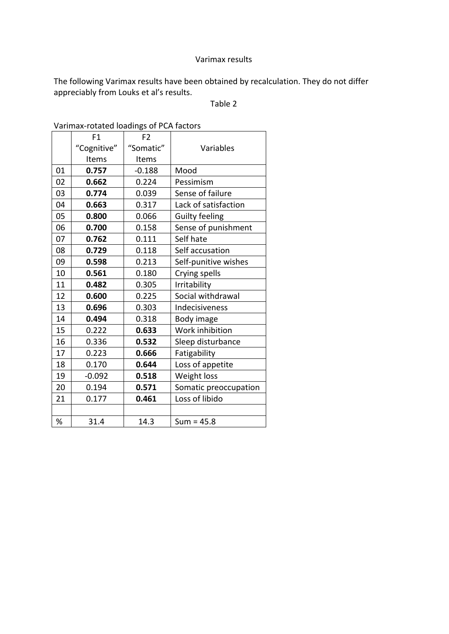### Varimax results

The following Varimax results have been obtained by recalculation. They do not differ appreciably from Louks et al's results.

### Table 2

|    | F1          | F <sub>2</sub> |                       |  |
|----|-------------|----------------|-----------------------|--|
|    | "Cognitive" | "Somatic"      | Variables             |  |
|    | Items       | Items          |                       |  |
| 01 | 0.757       | $-0.188$       | Mood                  |  |
| 02 | 0.662       | 0.224          | Pessimism             |  |
| 03 | 0.774       | 0.039          | Sense of failure      |  |
| 04 | 0.663       | 0.317          | Lack of satisfaction  |  |
| 05 | 0.800       | 0.066          | <b>Guilty feeling</b> |  |
| 06 | 0.700       | 0.158          | Sense of punishment   |  |
| 07 | 0.762       | 0.111          | Self hate             |  |
| 08 | 0.729       | 0.118          | Self accusation       |  |
| 09 | 0.598       | 0.213          | Self-punitive wishes  |  |
| 10 | 0.561       | 0.180          | Crying spells         |  |
| 11 | 0.482       | 0.305          | Irritability          |  |
| 12 | 0.600       | 0.225          | Social withdrawal     |  |
| 13 | 0.696       | 0.303          | Indecisiveness        |  |
| 14 | 0.494       | 0.318          | Body image            |  |
| 15 | 0.222       | 0.633          | Work inhibition       |  |
| 16 | 0.336       | 0.532          | Sleep disturbance     |  |
| 17 | 0.223       | 0.666          | Fatigability          |  |
| 18 | 0.170       | 0.644          | Loss of appetite      |  |
| 19 | $-0.092$    | 0.518          | Weight loss           |  |
| 20 | 0.194       | 0.571          | Somatic preoccupation |  |
| 21 | 0.177       | 0.461          | Loss of libido        |  |
|    |             |                |                       |  |
| ℅  | 31.4        | 14.3           | $Sum = 45.8$          |  |

Varimax-rotated loadings of PCA factors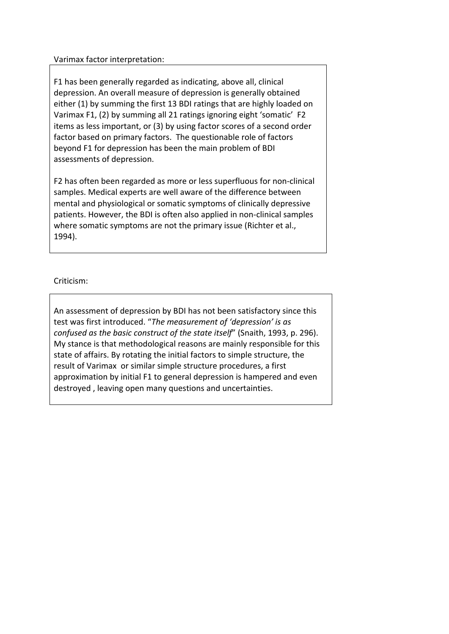### Varimax factor interpretation:

F1 has been generally regarded as indicating, above all, clinical depression. An overall measure of depression is generally obtained either (1) by summing the first 13 BDI ratings that are highly loaded on Varimax F1, (2) by summing all 21 ratings ignoring eight 'somatic' F2 items as less important, or (3) by using factor scores of a second order factor based on primary factors. The questionable role of factors beyond F1 for depression has been the main problem of BDI assessments of depression.

F2 has often been regarded as more or less superfluous for non-clinical samples. Medical experts are well aware of the difference between mental and physiological or somatic symptoms of clinically depressive patients. However, the BDI is often also applied in non-clinical samples where somatic symptoms are not the primary issue (Richter et al., 1994).

## Criticism:!

An assessment of depression by BDI has not been satisfactory since this test was first introduced. "The measurement of 'depression' is as *confused as the basic construct of the state itself*" (Snaith, 1993, p. 296). My stance is that methodological reasons are mainly responsible for this state of affairs. By rotating the initial factors to simple structure, the result of Varimax or similar simple structure procedures, a first approximation by initial F1 to general depression is hampered and even destroyed, leaving open many questions and uncertainties.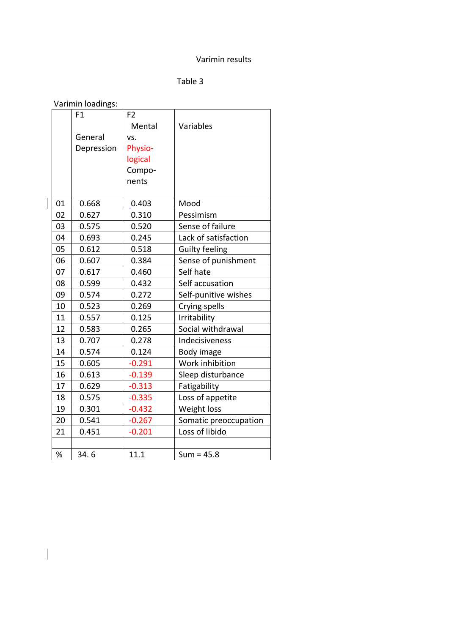#### Varimin results

# Table 3

|  | Varimin loadings: |
|--|-------------------|
|--|-------------------|

 $\begin{array}{c} \hline \end{array}$ 

 $\begin{array}{c} \hline \end{array}$ 

|      | F1         | F <sub>2</sub> |                       |
|------|------------|----------------|-----------------------|
|      |            | Mental         | Variables             |
|      | General    | VS.            |                       |
|      | Depression | Physio-        |                       |
|      |            | logical        |                       |
|      |            | Compo-         |                       |
|      |            | nents          |                       |
|      |            |                |                       |
| 01   | 0.668      | 0.403          | Mood                  |
| 02   | 0.627      | 0.310          | Pessimism             |
| 03   | 0.575      | 0.520          | Sense of failure      |
| 04   | 0.693      | 0.245          | Lack of satisfaction  |
| 05   | 0.612      | 0.518          | <b>Guilty feeling</b> |
| 06   | 0.607      | 0.384          | Sense of punishment   |
| 07   | 0.617      | 0.460          | Self hate             |
| 08   | 0.599      | 0.432          | Self accusation       |
| 09   | 0.574      | 0.272          | Self-punitive wishes  |
| 10   | 0.523      | 0.269          | Crying spells         |
| 11   | 0.557      | 0.125          | Irritability          |
| 12   | 0.583      | 0.265          | Social withdrawal     |
| 13   | 0.707      | 0.278          | Indecisiveness        |
| 14   | 0.574      | 0.124          | Body image            |
| 15   | 0.605      | $-0.291$       | Work inhibition       |
| 16   | 0.613      | $-0.139$       | Sleep disturbance     |
| 17   | 0.629      | $-0.313$       | Fatigability          |
| 18   | 0.575      | $-0.335$       | Loss of appetite      |
| 19   | 0.301      | $-0.432$       | Weight loss           |
| 20   | 0.541      | $-0.267$       | Somatic preoccupation |
| 21   | 0.451      | $-0.201$       | Loss of libido        |
|      |            |                |                       |
| $\%$ | 34.6       | 11.1           | $Sum = 45.8$          |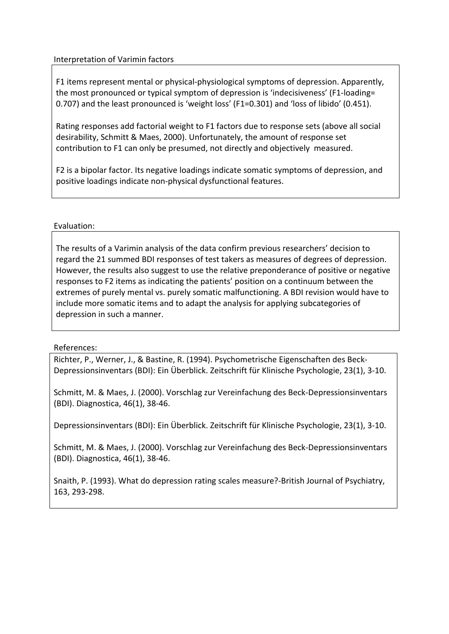# Interpretation of Varimin factors

F1 items represent mental or physical-physiological symptoms of depression. Apparently, the most pronounced or typical symptom of depression is 'indecisiveness' (F1-loading= 0.707) and the least pronounced is 'weight loss' (F1=0.301) and 'loss of libido' (0.451).

Rating responses add factorial weight to F1 factors due to response sets (above all social desirability, Schmitt & Maes, 2000). Unfortunately, the amount of response set contribution to F1 can only be presumed, not directly and objectively measured.

F2 is a bipolar factor. Its negative loadings indicate somatic symptoms of depression, and positive loadings indicate non-physical dysfunctional features.

# Evaluation:

The results of a Varimin analysis of the data confirm previous researchers' decision to regard the 21 summed BDI responses of test takers as measures of degrees of depression. However, the results also suggest to use the relative preponderance of positive or negative responses to F2 items as indicating the patients' position on a continuum between the extremes of purely mental vs. purely somatic malfunctioning. A BDI revision would have to include more somatic items and to adapt the analysis for applying subcategories of depression in such a manner.

## References:

Richter, P., Werner, J., & Bastine, R. (1994). Psychometrische Eigenschaften des Beck-Depressionsinventars (BDI): Ein Überblick. Zeitschrift für Klinische Psychologie, 23(1), 3-10.

Schmitt, M. & Maes, J. (2000). Vorschlag zur Vereinfachung des Beck-Depressionsinventars (BDI). Diagnostica, 46(1), 38-46.

Depressionsinventars (BDI): Ein Überblick. Zeitschrift für Klinische Psychologie, 23(1), 3-10.

Schmitt, M. & Maes, J. (2000). Vorschlag zur Vereinfachung des Beck-Depressionsinventars (BDI). Diagnostica, 46(1), 38-46.

Snaith, P. (1993). What do depression rating scales measure?-British Journal of Psychiatry, 163, 293-298.